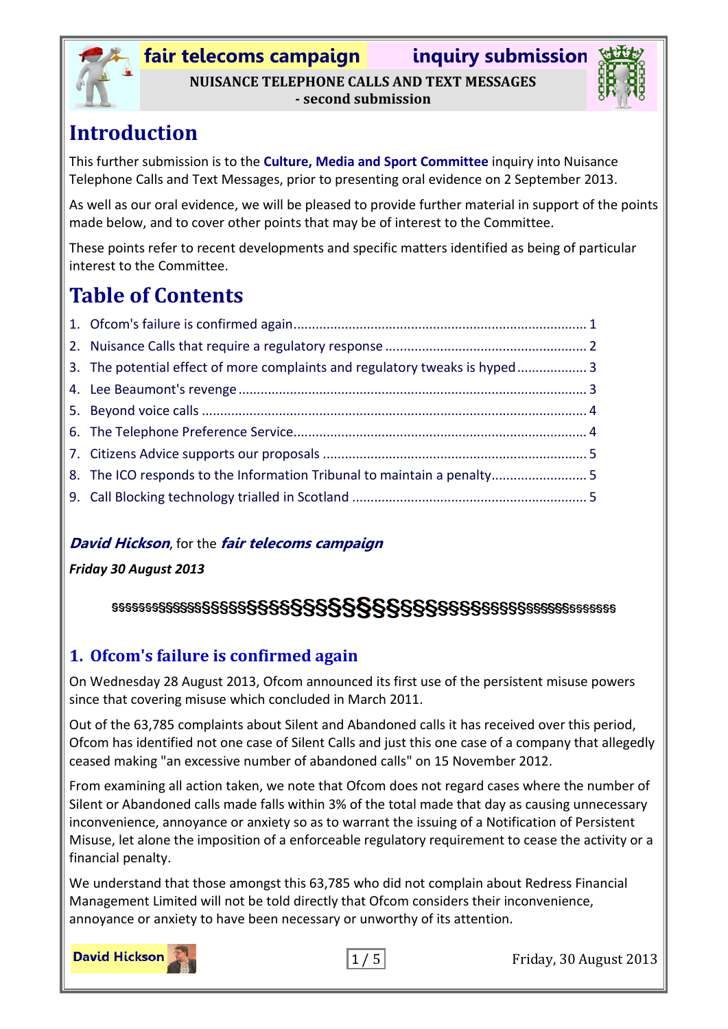

**- second submission**

## **Introduction**

This further submission is to the **Culture, Media and Sport Committee** inquiry into Nuisance Telephone Calls and Text Messages, prior to presenting oral evidence on 2 September 2013.

As well as our oral evidence, we will be pleased to provide further material in support of the points made below, and to cover other points that may be of interest to the Committee.

These points refer to recent developments and specific matters identified as being of particular interest to the Committee.

# **Table of Contents**

| 3. The potential effect of more complaints and regulatory tweaks is hyped 3 |  |
|-----------------------------------------------------------------------------|--|
|                                                                             |  |
|                                                                             |  |
|                                                                             |  |
|                                                                             |  |
| 8. The ICO responds to the Information Tribunal to maintain a penalty5      |  |
|                                                                             |  |

#### **David Hickson**, for the **fair telecoms campaign**

#### *Friday 30 August 2013*

### 

### <span id="page-0-0"></span>**1. Ofcom's failure is confirmed again**

On Wednesday 28 August 2013, Ofcom announced its first use of the persistent misuse powers since that covering misuse which concluded in March 2011.

Out of the 63,785 complaints about Silent and Abandoned calls it has received over this period, Ofcom has identified not one case of Silent Calls and just this one case of a company that allegedly ceased making "an excessive number of abandoned calls" on 15 November 2012.

From examining all action taken, we note that Ofcom does not regard cases where the number of Silent or Abandoned calls made falls within 3% of the total made that day as causing unnecessary inconvenience, annoyance or anxiety so as to warrant the issuing of a Notification of Persistent Misuse, let alone the imposition of a enforceable regulatory requirement to cease the activity or a financial penalty.

We understand that those amongst this 63,785 who did not complain about Redress Financial Management Limited will not be told directly that Ofcom considers their inconvenience, annoyance or anxiety to have been necessary or unworthy of its attention.



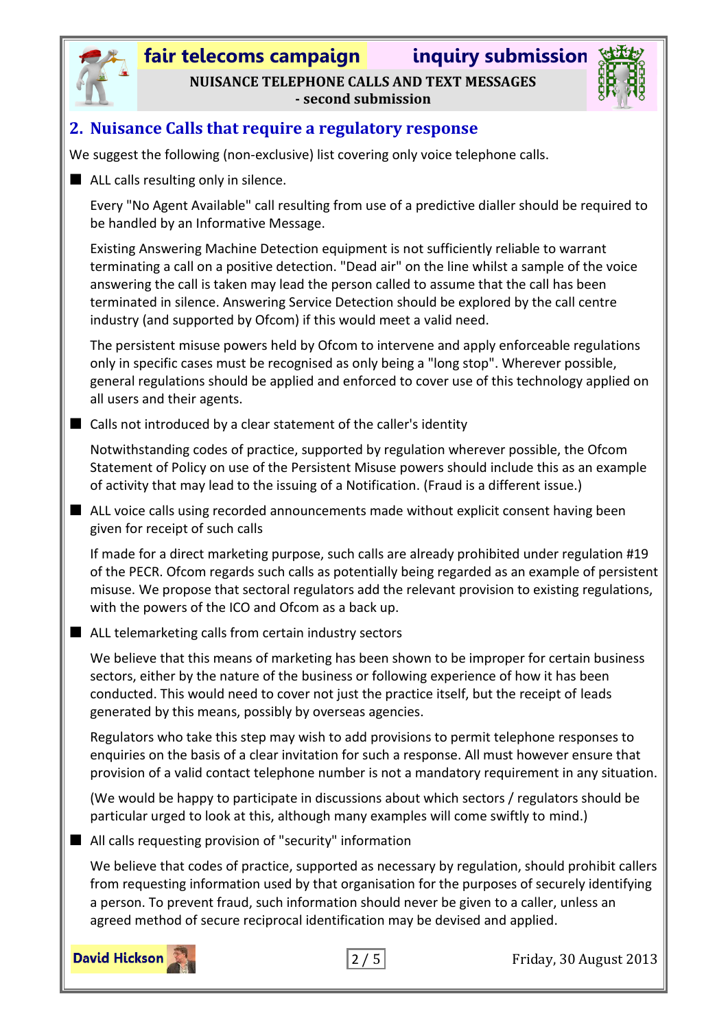

# **fair telecoms campaign inquiry submission NUISANCE TELEPHONE CALLS AND TEXT MESSAGES**

**- second submission**



#### <span id="page-1-0"></span>**2. Nuisance Calls that require a regulatory response**

We suggest the following (non-exclusive) list covering only voice telephone calls.

ALL calls resulting only in silence.

Every "No Agent Available" call resulting from use of a predictive dialler should be required to be handled by an Informative Message.

Existing Answering Machine Detection equipment is not sufficiently reliable to warrant terminating a call on a positive detection. "Dead air" on the line whilst a sample of the voice answering the call is taken may lead the person called to assume that the call has been terminated in silence. Answering Service Detection should be explored by the call centre industry (and supported by Ofcom) if this would meet a valid need.

The persistent misuse powers held by Ofcom to intervene and apply enforceable regulations only in specific cases must be recognised as only being a "long stop". Wherever possible, general regulations should be applied and enforced to cover use of this technology applied on all users and their agents.

 $\blacksquare$  Calls not introduced by a clear statement of the caller's identity

Notwithstanding codes of practice, supported by regulation wherever possible, the Ofcom Statement of Policy on use of the Persistent Misuse powers should include this as an example of activity that may lead to the issuing of a Notification. (Fraud is a different issue.)

■ ALL voice calls using recorded announcements made without explicit consent having been given for receipt of such calls

If made for a direct marketing purpose, such calls are already prohibited under regulation #19 of the PECR. Ofcom regards such calls as potentially being regarded as an example of persistent misuse. We propose that sectoral regulators add the relevant provision to existing regulations, with the powers of the ICO and Ofcom as a back up.

■ ALL telemarketing calls from certain industry sectors

We believe that this means of marketing has been shown to be improper for certain business sectors, either by the nature of the business or following experience of how it has been conducted. This would need to cover not just the practice itself, but the receipt of leads generated by this means, possibly by overseas agencies.

Regulators who take this step may wish to add provisions to permit telephone responses to enquiries on the basis of a clear invitation for such a response. All must however ensure that provision of a valid contact telephone number is not a mandatory requirement in any situation.

(We would be happy to participate in discussions about which sectors / regulators should be particular urged to look at this, although many examples will come swiftly to mind.)

■ All calls requesting provision of "security" information

We believe that codes of practice, supported as necessary by regulation, should prohibit callers from requesting information used by that organisation for the purposes of securely identifying a person. To prevent fraud, such information should never be given to a caller, unless an agreed method of secure reciprocal identification may be devised and applied.



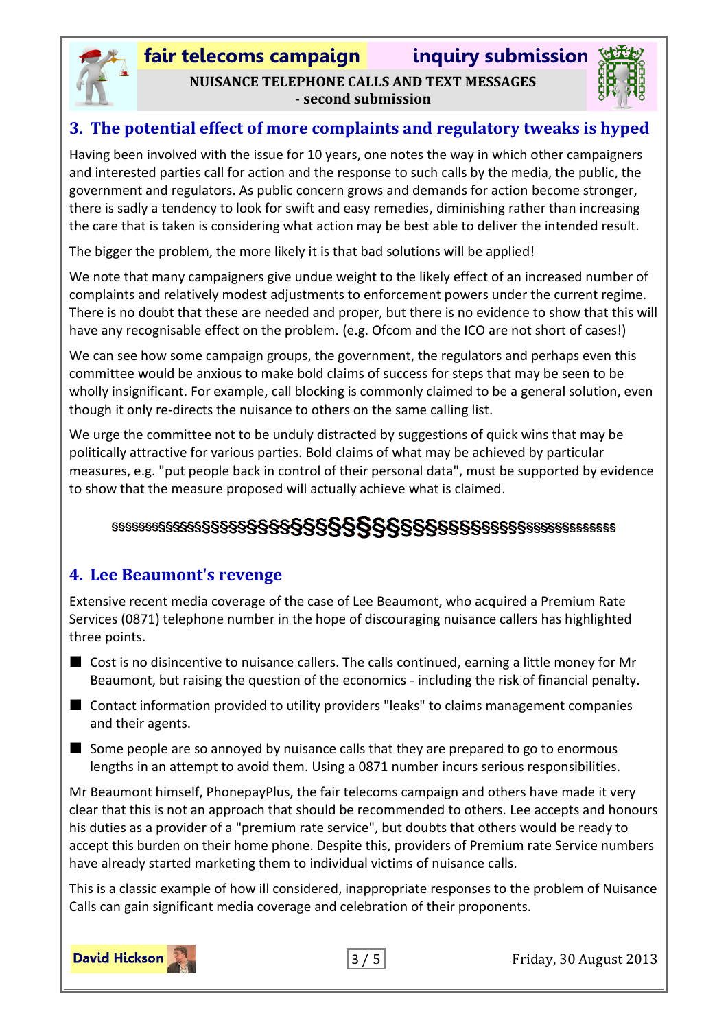

### **fair telecoms campaign inquiry submission NUISANCE TELEPHONE CALLS AND TEXT MESSAGES - second submission**



#### <span id="page-2-0"></span>**3. The potential effect of more complaints and regulatory tweaks is hyped**

Having been involved with the issue for 10 years, one notes the way in which other campaigners and interested parties call for action and the response to such calls by the media, the public, the government and regulators. As public concern grows and demands for action become stronger, there is sadly a tendency to look for swift and easy remedies, diminishing rather than increasing the care that is taken is considering what action may be best able to deliver the intended result.

The bigger the problem, the more likely it is that bad solutions will be applied!

We note that many campaigners give undue weight to the likely effect of an increased number of complaints and relatively modest adjustments to enforcement powers under the current regime. There is no doubt that these are needed and proper, but there is no evidence to show that this will have any recognisable effect on the problem. (e.g. Ofcom and the ICO are not short of cases!)

We can see how some campaign groups, the government, the regulators and perhaps even this committee would be anxious to make bold claims of success for steps that may be seen to be wholly insignificant. For example, call blocking is commonly claimed to be a general solution, even though it only re-directs the nuisance to others on the same calling list.

We urge the committee not to be unduly distracted by suggestions of quick wins that may be politically attractive for various parties. Bold claims of what may be achieved by particular measures, e.g. "put people back in control of their personal data", must be supported by evidence to show that the measure proposed will actually achieve what is claimed.

## 

### <span id="page-2-1"></span>**4. Lee Beaumont's revenge**

Extensive recent media coverage of the case of Lee Beaumont, who acquired a Premium Rate Services (0871) telephone number in the hope of discouraging nuisance callers has highlighted three points.

- Cost is no disincentive to nuisance callers. The calls continued, earning a little money for Mr Beaumont, but raising the question of the economics - including the risk of financial penalty.
- Contact information provided to utility providers "leaks" to claims management companies and their agents.
- $\blacksquare$  Some people are so annoyed by nuisance calls that they are prepared to go to enormous lengths in an attempt to avoid them. Using a 0871 number incurs serious responsibilities.

Mr Beaumont himself, PhonepayPlus, the fair telecoms campaign and others have made it very clear that this is not an approach that should be recommended to others. Lee accepts and honours his duties as a provider of a "premium rate service", but doubts that others would be ready to accept this burden on their home phone. Despite this, providers of Premium rate Service numbers have already started marketing them to individual victims of nuisance calls.

This is a classic example of how ill considered, inappropriate responses to the problem of Nuisance Calls can gain significant media coverage and celebration of their proponents.

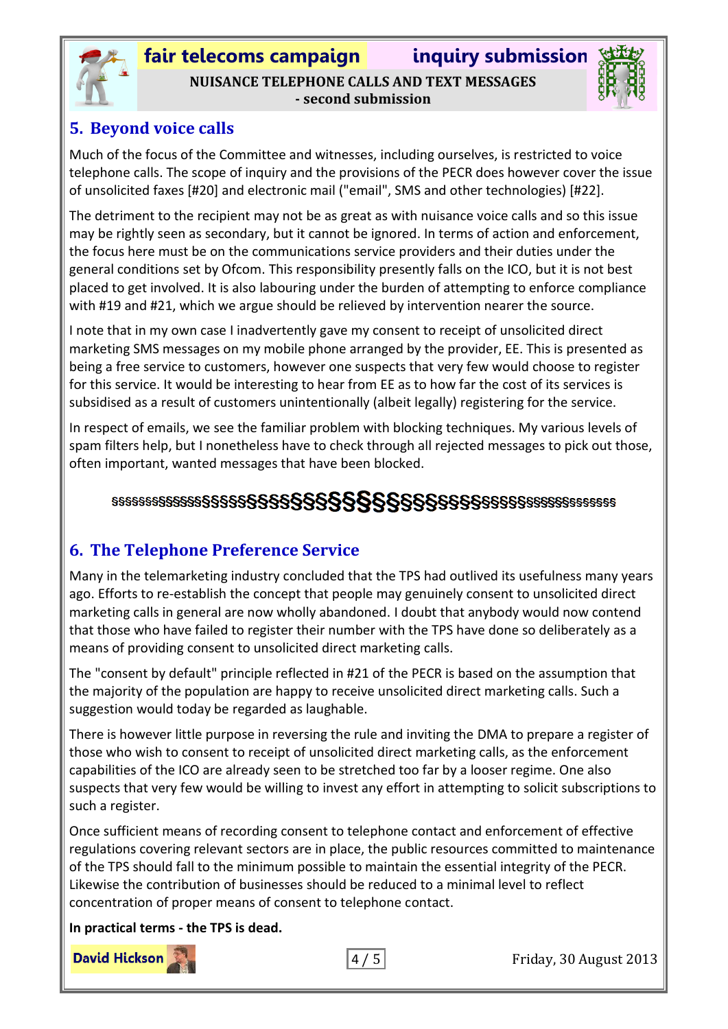

**fair telecoms campaign inquiry submission NUISANCE TELEPHONE CALLS AND TEXT MESSAGES - second submission**



### <span id="page-3-0"></span>**5. Beyond voice calls**

Much of the focus of the Committee and witnesses, including ourselves, is restricted to voice telephone calls. The scope of inquiry and the provisions of the PECR does however cover the issue of unsolicited faxes [#20] and electronic mail ("email", SMS and other technologies) [#22].

The detriment to the recipient may not be as great as with nuisance voice calls and so this issue may be rightly seen as secondary, but it cannot be ignored. In terms of action and enforcement, the focus here must be on the communications service providers and their duties under the general conditions set by Ofcom. This responsibility presently falls on the ICO, but it is not best placed to get involved. It is also labouring under the burden of attempting to enforce compliance with #19 and #21, which we argue should be relieved by intervention nearer the source.

I note that in my own case I inadvertently gave my consent to receipt of unsolicited direct marketing SMS messages on my mobile phone arranged by the provider, EE. This is presented as being a free service to customers, however one suspects that very few would choose to register for this service. It would be interesting to hear from EE as to how far the cost of its services is subsidised as a result of customers unintentionally (albeit legally) registering for the service.

In respect of emails, we see the familiar problem with blocking techniques. My various levels of spam filters help, but I nonetheless have to check through all rejected messages to pick out those, often important, wanted messages that have been blocked.

### 

### <span id="page-3-1"></span>**6. The Telephone Preference Service**

Many in the telemarketing industry concluded that the TPS had outlived its usefulness many years ago. Efforts to re-establish the concept that people may genuinely consent to unsolicited direct marketing calls in general are now wholly abandoned. I doubt that anybody would now contend that those who have failed to register their number with the TPS have done so deliberately as a means of providing consent to unsolicited direct marketing calls.

The "consent by default" principle reflected in #21 of the PECR is based on the assumption that the majority of the population are happy to receive unsolicited direct marketing calls. Such a suggestion would today be regarded as laughable.

There is however little purpose in reversing the rule and inviting the DMA to prepare a register of those who wish to consent to receipt of unsolicited direct marketing calls, as the enforcement capabilities of the ICO are already seen to be stretched too far by a looser regime. One also suspects that very few would be willing to invest any effort in attempting to solicit subscriptions to such a register.

Once sufficient means of recording consent to telephone contact and enforcement of effective regulations covering relevant sectors are in place, the public resources committed to maintenance of the TPS should fall to the minimum possible to maintain the essential integrity of the PECR. Likewise the contribution of businesses should be reduced to a minimal level to reflect concentration of proper means of consent to telephone contact.

**In practical terms - the TPS is dead.**

**David Hickson**